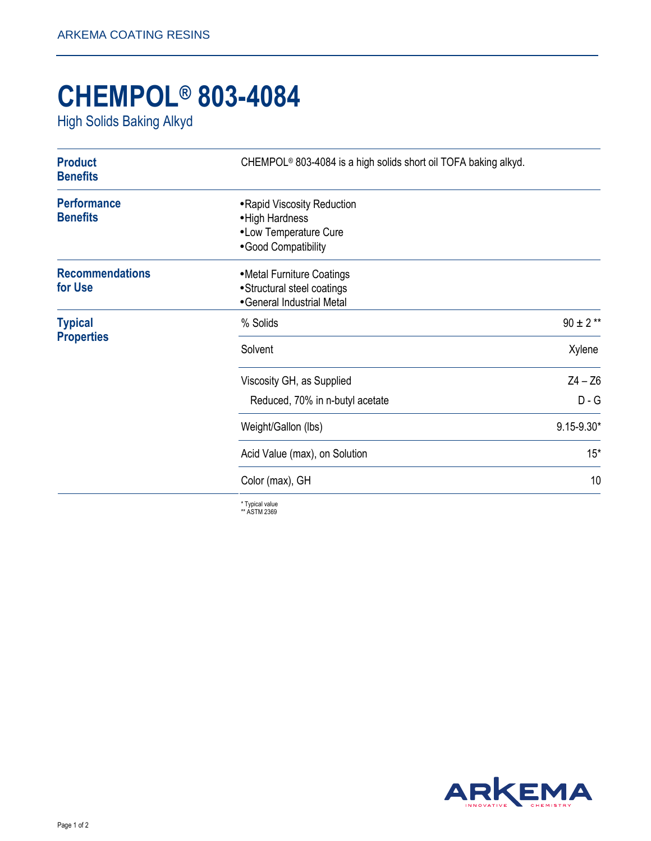## **CHEMPOL® 803-4084**

High Solids Baking Alkyd

| <b>Product</b><br><b>Benefits</b>     | CHEMPOL <sup>®</sup> 803-4084 is a high solids short oil TOFA baking alkyd.                      |                |
|---------------------------------------|--------------------------------------------------------------------------------------------------|----------------|
| <b>Performance</b><br><b>Benefits</b> | • Rapid Viscosity Reduction<br>• High Hardness<br>• Low Temperature Cure<br>· Good Compatibility |                |
| <b>Recommendations</b><br>for Use     | • Metal Furniture Coatings<br>• Structural steel coatings<br>• General Industrial Metal          |                |
| <b>Typical</b><br><b>Properties</b>   | % Solids                                                                                         | $90 \pm 2$ **  |
|                                       | Solvent                                                                                          | Xylene         |
|                                       | Viscosity GH, as Supplied                                                                        | $Z4 - Z6$      |
|                                       | Reduced, 70% in n-butyl acetate                                                                  | $D - G$        |
|                                       | Weight/Gallon (lbs)                                                                              | $9.15 - 9.30*$ |
|                                       | Acid Value (max), on Solution                                                                    | $15*$          |
|                                       | Color (max), GH                                                                                  | 10             |
|                                       | 大学 いちいち しょうし                                                                                     |                |

\* Typical value \*\* ASTM 2369